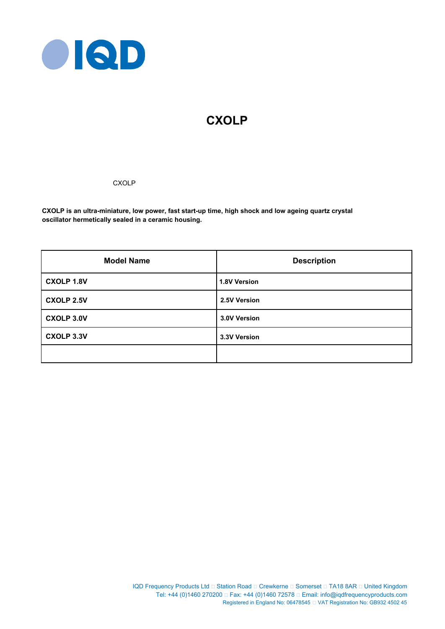

# **CXOLP**

# **CXOLP**

**CXOLP is an ultra-miniature, low power, fast start-up time, high shock and low ageing quartz crystal oscillator hermetically sealed in a ceramic housing.**

| <b>Model Name</b> | <b>Description</b> |
|-------------------|--------------------|
| <b>CXOLP 1.8V</b> | 1.8V Version       |
| <b>CXOLP 2.5V</b> | 2.5V Version       |
| <b>CXOLP 3.0V</b> | 3.0V Version       |
| <b>CXOLP 3.3V</b> | 3.3V Version       |
|                   |                    |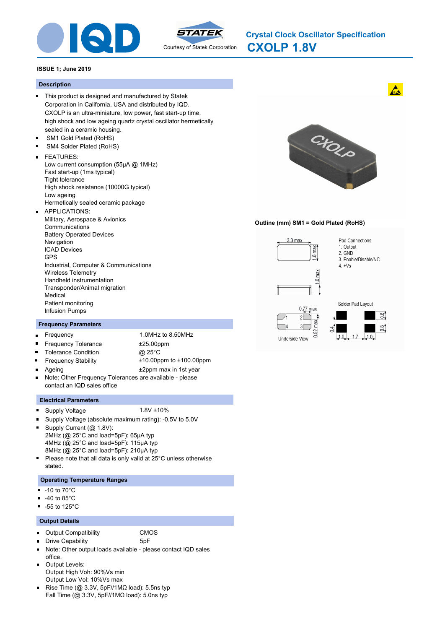



**CXOLP 1.8V Crystal Clock Oscillator Specification**

### **ISSUE 1; June 2019**

#### **Description**

- This product is designed and manufactured by Statek Corporation in California, USA and distributed by IQD. CXOLP is an ultra-miniature, low power, fast start-up time, high shock and low ageing quartz crystal oscillator hermetically sealed in a ceramic housing.
- SM1 Gold Plated (RoHS) SM4 Solder Plated (RoHS)
- FEATURES:
- - Low current consumption (55μA @ 1MHz) Fast start-up (1ms typical) Tight tolerance High shock resistance (10000G typical) Low ageing Hermetically sealed ceramic package
- APPLICATIONS:  $\blacksquare$ Military, Aerospace & Avionics Communications Battery Operated Devices Navigation ICAD Devices GPS Industrial, Computer & Communications Wireless Telemetry Handheld instrumentation Transponder/Animal migration Medical Patient monitoring Infusion Pumps

#### **Frequency Parameters**

- Frequency 1.0MHz to 8.50MHz  $\blacksquare$
- $\blacksquare$

 $\blacksquare$ 

- Frequency Tolerance  $±25.00$ ppm Tolerance Condition @ 25°C Frequency Stability ±10.00ppm to ±100.00ppm
- Ageing  $\pm 2$ ppm max in 1st year  $\blacksquare$ Note: Other Frequency Tolerances are available - please  $\blacksquare$ contact an IQD sales office

#### **Electrical Parameters**

- Supply Voltage 1.8V ±10%  $\blacksquare$
- 
- n Supply Voltage (absolute maximum rating): -0.5V to 5.0V
- o Supply Current (@ 1.8V): 2MHz (@ 25°C and load=5pF): 65μA typ 4MHz (@ 25°C and load=5pF): 115μA typ 8MHz (@ 25°C and load=5pF): 210μA typ
- $\blacksquare$ Please note that all data is only valid at 25°C unless otherwise stated.

# **Operating Temperature Ranges**

- $-10$  to  $70^{\circ}$ C
- -40 to 85°C  $\blacksquare$
- $-55$  to 125 $^{\circ}$ C

#### **Output Details**

 $\blacksquare$ 

- Output Compatibility CMOS
	- Drive Capability 5pF
- $\blacksquare$ Note: Other output loads available - please contact IQD sales
- office. Output Levels:  $\blacksquare$ Output High Voh: 90%Vs min
- Output Low Vol: 10%Vs max
- Rise Time ( $@$  3.3V, 5pF//1M $\Omega$  load): 5.5ns typ Fall Time (@ 3.3V, 5pF//1MΩ load): 5.0ns typ



#### **Outline (mm) SM1 = Gold Plated (RoHS)**



 $0.52$  max 3

Underside View



 $\frac{8}{10}$ 

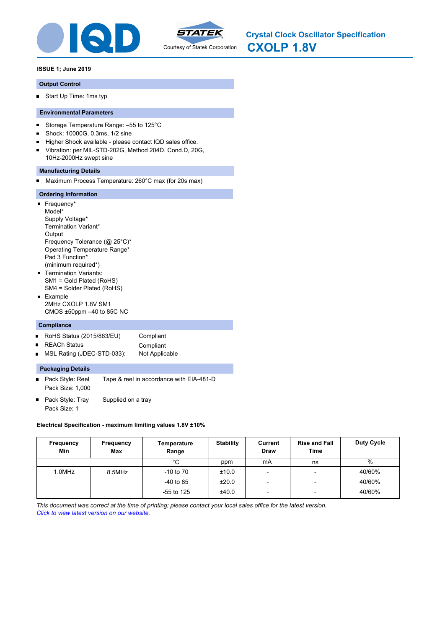



**CXOLP 1.8V Crystal Clock Oscillator Specification**

# **ISSUE 1; June 2019**

## **Output Control**

Start Up Time: 1ms typ

# **Environmental Parameters**

- Storage Temperature Range: –55 to 125°C  $\blacksquare$
- × Shock: 10000G, 0.3ms, 1/2 sine
- Higher Shock available please contact IQD sales office.  $\blacksquare$
- Vibration: per MIL-STD-202G, Method 204D. Cond.D, 20G,  $\blacksquare$ 10Hz-2000Hz swept sine

# **Manufacturing Details**

Maximum Process Temperature: 260°C max (for 20s max)

# **Ordering Information**

- Frequency\* Model\* Supply Voltage\* Termination Variant\* Output Frequency Tolerance (@ 25°C)\* Operating Temperature Range\* Pad 3 Function\* (minimum required\*) **Termination Variants:** SM1 = Gold Plated (RoHS) SM4 = Solder Plated (RoHS)
- **Example** 2MHz CXOLP 1.8V SM1 CMOS ±50ppm –40 to 85C NC

#### **Compliance**

- RoHS Status (2015/863/EU) Compliant  $\blacksquare$
- REACh Status **Compliant**  $\blacksquare$
- MSL Rating (JDEC-STD-033): Not Applicable  $\blacksquare$

### **Packaging Details**

- Pack Style: Reel Tape & reel in accordance with EIA-481-D Pack Size: 1,000
- $\blacksquare$ Pack Style: Tray Supplied on a tray Pack Size: 1

#### **Electrical Specification - maximum limiting values 1.8V ±10%**

| Frequency<br>Min | Frequency<br>Max | Temperature<br>Range | <b>Stability</b> | Current<br><b>Draw</b>   | <b>Rise and Fall</b><br><b>Time</b> | Duty Cycle |
|------------------|------------------|----------------------|------------------|--------------------------|-------------------------------------|------------|
|                  |                  | °C                   | ppm              | mA                       | ns                                  | %          |
| 1.0MHz           | 8.5MHz           | $-10$ to $70$        | ±10.0            | $\overline{\phantom{a}}$ | $\overline{\phantom{a}}$            | 40/60%     |
|                  |                  | $-40$ to 85          | ±20.0            | $\overline{\phantom{0}}$ | $\overline{\phantom{a}}$            | 40/60%     |
|                  |                  | $-55$ to 125         | ±40.0            | $\overline{\phantom{a}}$ | $\overline{\phantom{0}}$            | 40/60%     |

*This document was correct at the time of printing; please contact your local sales office for the latest version. Click to view latest version on our website.*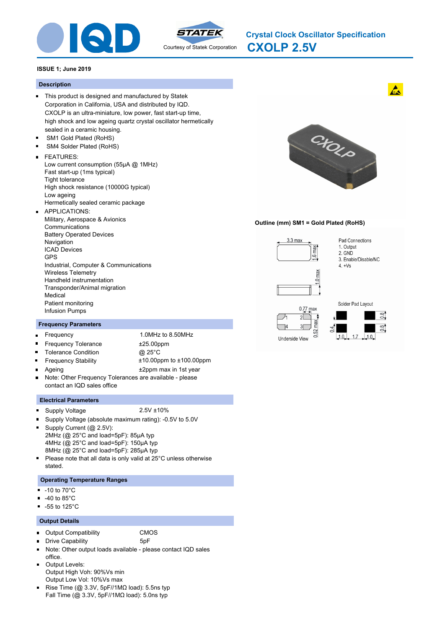



**CXOLP 2.5V Crystal Clock Oscillator Specification**

### **ISSUE 1; June 2019**

#### **Description**

- This product is designed and manufactured by Statek Corporation in California, USA and distributed by IQD. CXOLP is an ultra-miniature, low power, fast start-up time, high shock and low ageing quartz crystal oscillator hermetically sealed in a ceramic housing.
- SM1 Gold Plated (RoHS) SM4 Solder Plated (RoHS)
- FEATURES:
- Low current consumption (55μA @ 1MHz) Fast start-up (1ms typical) Tight tolerance High shock resistance (10000G typical) Low ageing Hermetically sealed ceramic package APPLICATIONS:  $\blacksquare$
- Military, Aerospace & Avionics Communications Battery Operated Devices Navigation ICAD Devices GPS Industrial, Computer & Communications Wireless Telemetry Handheld instrumentation Transponder/Animal migration Medical Patient monitoring Infusion Pumps

#### **Frequency Parameters**

- Frequency 1.0MHz to 8.50MHz  $\blacksquare$
- $\blacksquare$

 $\blacksquare$ 

- Frequency Tolerance  $±25.00$ ppm Tolerance Condition @ 25°C Frequency Stability ±10.00ppm to ±100.00ppm
- Ageing  $\pm 2$ ppm max in 1st year  $\blacksquare$ Note: Other Frequency Tolerances are available - please  $\blacksquare$ contact an IQD sales office

#### **Electrical Parameters**

- Supply Voltage 2.5V ±10%  $\blacksquare$
- 
- n Supply Voltage (absolute maximum rating): -0.5V to 5.0V
- $\blacksquare$ Supply Current (@ 2.5V): 2MHz (@ 25°C and load=5pF): 85μA typ 4MHz (@ 25°C and load=5pF): 150μA typ 8MHz (@ 25°C and load=5pF): 285μA typ
- $\blacksquare$ Please note that all data is only valid at 25°C unless otherwise stated.

# **Operating Temperature Ranges**

- $-10$  to  $70^{\circ}$ C
- -40 to 85°C  $\blacksquare$
- $-55$  to 125 $^{\circ}$ C

### **Output Details**

- Output Compatibility CMOS
	-
- $\blacksquare$ Drive Capability 5pF  $\blacksquare$ Note: Other output loads available - please contact IQD sales
- office. Output Levels:  $\blacksquare$
- Output High Voh: 90%Vs min Output Low Vol: 10%Vs max
- Rise Time ( $@$  3.3V, 5pF//1M $\Omega$  load): 5.5ns typ Fall Time (@ 3.3V, 5pF//1MΩ load): 5.0ns typ



### **Outline (mm) SM1 = Gold Plated (RoHS)**







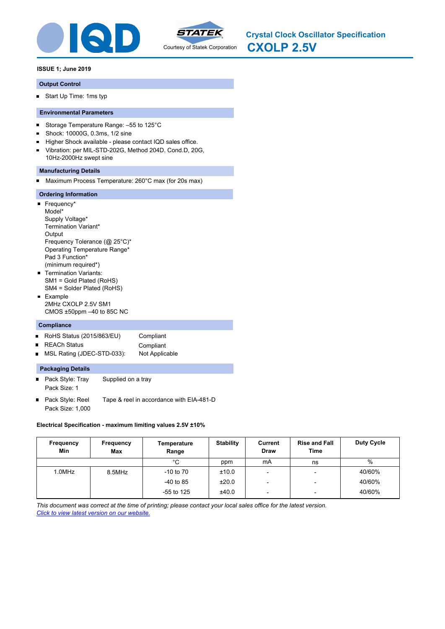



**CXOLP 2.5V Crystal Clock Oscillator Specification**

# **ISSUE 1; June 2019**

## **Output Control**

Start Up Time: 1ms typ

# **Environmental Parameters**

- Storage Temperature Range: –55 to 125°C  $\blacksquare$
- × Shock: 10000G, 0.3ms, 1/2 sine
- Higher Shock available please contact IQD sales office.  $\blacksquare$
- Vibration: per MIL-STD-202G, Method 204D. Cond.D, 20G,  $\blacksquare$ 10Hz-2000Hz swept sine

# **Manufacturing Details**

Maximum Process Temperature: 260°C max (for 20s max)

# **Ordering Information**

- Frequency\* Model\* Supply Voltage\* Termination Variant\* **Output** Frequency Tolerance (@ 25°C)\* Operating Temperature Range\* Pad 3 Function\* (minimum required\*) **Termination Variants:** SM1 = Gold Plated (RoHS) SM4 = Solder Plated (RoHS)
- **Example** 2MHz CXOLP 2.5V SM1 CMOS ±50ppm –40 to 85C NC

#### **Compliance**

- RoHS Status (2015/863/EU) Compliant  $\blacksquare$
- REACh Status **Compliant**  $\blacksquare$
- MSL Rating (JDEC-STD-033): Not Applicable  $\blacksquare$

### **Packaging Details**

- Pack Style: Tray Supplied on a tray Pack Size: 1
- $\blacksquare$ Pack Style: Reel Tape & reel in accordance with EIA-481-D Pack Size: 1,000

# **Electrical Specification - maximum limiting values 2.5V ±10%**

| Frequency<br>Min | Frequency<br>Max | Temperature<br>Range | <b>Stability</b> | Current<br><b>Draw</b>   | <b>Rise and Fall</b><br><b>Time</b> | <b>Duty Cycle</b> |
|------------------|------------------|----------------------|------------------|--------------------------|-------------------------------------|-------------------|
|                  |                  | °C                   | ppm              | mA                       | ns                                  | %                 |
| 1.0MHz           | 8.5MHz           | $-10$ to $70$        | ±10.0            | -                        | $\overline{\phantom{a}}$            | 40/60%            |
|                  |                  | -40 to 85            | ±20.0            | -                        | $\overline{\phantom{0}}$            | 40/60%            |
|                  |                  | $-55$ to 125         | ±40.0            | $\overline{\phantom{0}}$ | $\overline{\phantom{a}}$            | 40/60%            |

*This document was correct at the time of printing; please contact your local sales office for the latest version. Click to view latest version on our website.*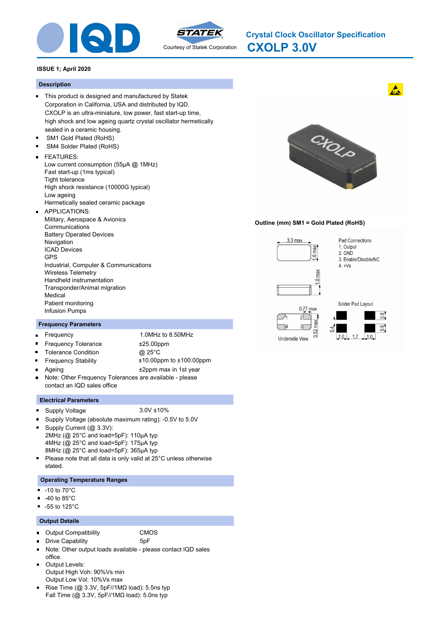



**CXOLP 3.0V Crystal Clock Oscillator Specification**

### **ISSUE 1; April 2020**

#### **Description**

- This product is designed and manufactured by Statek Corporation in California, USA and distributed by IQD. CXOLP is an ultra-miniature, low power, fast start-up time, high shock and low ageing quartz crystal oscillator hermetically sealed in a ceramic housing.
- SM1 Gold Plated (RoHS) SM4 Solder Plated (RoHS)
- FEATURES:
- - Low current consumption (55μA @ 1MHz) Fast start-up (1ms typical) Tight tolerance High shock resistance (10000G typical) Low ageing Hermetically sealed ceramic package
- APPLICATIONS:  $\blacksquare$ Military, Aerospace & Avionics Communications Battery Operated Devices Navigation ICAD Devices GPS Industrial, Computer & Communications Wireless Telemetry Handheld instrumentation Transponder/Animal migration Medical Patient monitoring Infusion Pumps

#### **Frequency Parameters**

- Frequency 1.0MHz to 8.50MHz  $\blacksquare$
- $\blacksquare$

 $\blacksquare$ 

- Frequency Tolerance  $±25.00$ ppm Tolerance Condition @ 25°C Frequency Stability ±10.00ppm to ±100.00ppm
- Ageing  $\pm 2$ ppm max in 1st year  $\blacksquare$ Note: Other Frequency Tolerances are available - please  $\blacksquare$ contact an IQD sales office

#### **Electrical Parameters**

- Supply Voltage 3.0V ±10%  $\blacksquare$
- 
- n Supply Voltage (absolute maximum rating): -0.5V to 5.0V
- o Supply Current (@ 3.3V): 2MHz (@ 25°C and load=5pF): 110μA typ 4MHz (@ 25°C and load=5pF): 175μA typ 8MHz (@ 25°C and load=5pF): 365μA typ
- $\blacksquare$ Please note that all data is only valid at 25°C unless otherwise stated.

# **Operating Temperature Ranges**

- $-10$  to  $70^{\circ}$ C
- -40 to 85°C  $\blacksquare$
- $-55$  to 125 $^{\circ}$ C

### **Output Details**

 $\blacksquare$ 

- Output Compatibility CMOS
	- Drive Capability 5pF
- $\blacksquare$ Note: Other output loads available - please contact IQD sales
- office. Output Levels:  $\blacksquare$
- Output High Voh: 90%Vs min Output Low Vol: 10%Vs max
- Rise Time ( $@$  3.3V, 5pF//1M $\Omega$  load): 5.5ns typ Fall Time (@ 3.3V, 5pF//1MΩ load): 5.0ns typ



### **Outline (mm) SM1 = Gold Plated (RoHS)**







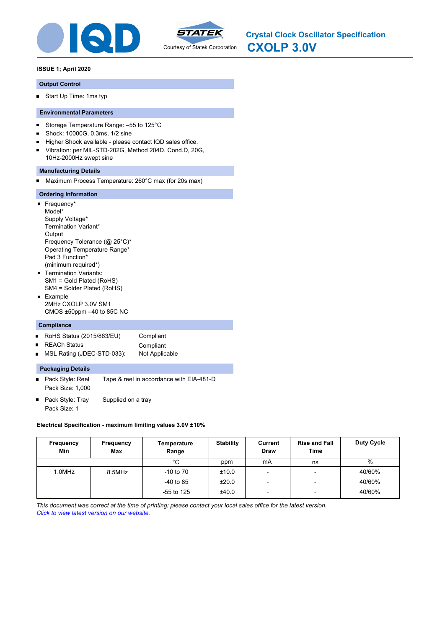



**CXOLP 3.0V Crystal Clock Oscillator Specification**

# **ISSUE 1; April 2020**

#### **Output Control**

Start Up Time: 1ms typ

### **Environmental Parameters**

- Storage Temperature Range: –55 to 125°C  $\blacksquare$
- × Shock: 10000G, 0.3ms, 1/2 sine
- Higher Shock available please contact IQD sales office.  $\blacksquare$
- Vibration: per MIL-STD-202G, Method 204D. Cond.D, 20G,  $\blacksquare$ 10Hz-2000Hz swept sine

#### **Manufacturing Details**

Maximum Process Temperature: 260°C max (for 20s max)

#### **Ordering Information**

- Frequency\* Model\* Supply Voltage\* Termination Variant\* **Output** Frequency Tolerance (@ 25°C)\* Operating Temperature Range\* Pad 3 Function\* (minimum required\*) **Termination Variants:** SM1 = Gold Plated (RoHS) SM4 = Solder Plated (RoHS)
- **Example** 2MHz CXOLP 3.0V SM1 CMOS ±50ppm –40 to 85C NC

#### **Compliance**

- RoHS Status (2015/863/EU) Compliant  $\blacksquare$
- REACh Status **Compliant**  $\blacksquare$
- MSL Rating (JDEC-STD-033): Not Applicable  $\blacksquare$

### **Packaging Details**

- Pack Style: Reel Tape & reel in accordance with EIA-481-D Pack Size: 1,000
- $\blacksquare$ Pack Style: Tray Supplied on a tray Pack Size: 1

#### **Electrical Specification - maximum limiting values 3.0V ±10%**

| Frequency<br>Min | Frequency<br><b>Max</b> | Temperature<br>Range | <b>Stability</b> | Current<br><b>Draw</b>   | <b>Rise and Fall</b><br><b>Time</b> | <b>Duty Cycle</b> |
|------------------|-------------------------|----------------------|------------------|--------------------------|-------------------------------------|-------------------|
|                  |                         | °C                   | ppm              | mA                       | ns                                  | $\%$              |
| 1.0MHz           | 8.5MHz                  | $-10$ to $70$        | ±10.0            | $\overline{\phantom{0}}$ | $\overline{\phantom{0}}$            | 40/60%            |
|                  |                         | $-40$ to 85          | ±20.0            | $\overline{\phantom{0}}$ | $\overline{\phantom{a}}$            | 40/60%            |
|                  |                         | $-55$ to 125         | ±40.0            | $\overline{\phantom{0}}$ | $\overline{\phantom{0}}$            | 40/60%            |

*This document was correct at the time of printing; please contact your local sales office for the latest version. Click to view latest version on our website.*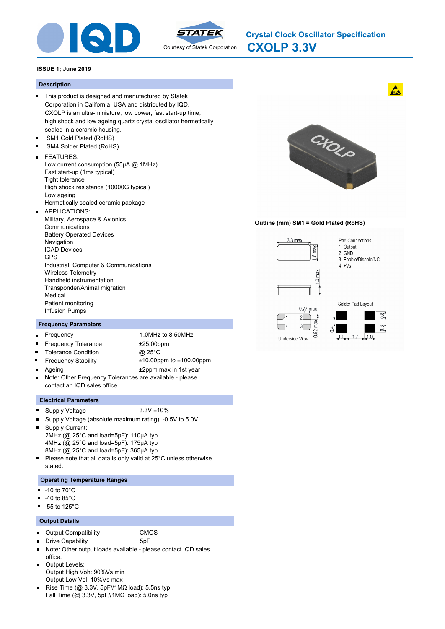



**CXOLP 3.3V Crystal Clock Oscillator Specification**

### **ISSUE 1; June 2019**

#### **Description**

- This product is designed and manufactured by Statek Corporation in California, USA and distributed by IQD. CXOLP is an ultra-miniature, low power, fast start-up time, high shock and low ageing quartz crystal oscillator hermetically sealed in a ceramic housing.
- SM1 Gold Plated (RoHS) SM4 Solder Plated (RoHS)
- FEATURES:
	- Low current consumption (55μA @ 1MHz) Fast start-up (1ms typical) Tight tolerance High shock resistance (10000G typical) Low ageing Hermetically sealed ceramic package APPLICATIONS:
- $\blacksquare$ Military, Aerospace & Avionics Communications Battery Operated Devices Navigation ICAD Devices GPS Industrial, Computer & Communications Wireless Telemetry Handheld instrumentation Transponder/Animal migration Medical Patient monitoring Infusion Pumps

### **Frequency Parameters**

- Frequency 1.0MHz to 8.50MHz  $\blacksquare$ Frequency Tolerance **±25.00ppm**
- $\blacksquare$ Tolerance Condition @ 25°C

 $\blacksquare$ 

 $\blacksquare$ 

- Frequency Stability ±10.00ppm to ±100.00ppm
- Ageing  $\pm 2$ ppm max in 1st year  $\blacksquare$ Note: Other Frequency Tolerances are available - please  $\blacksquare$ contact an IQD sales office

### **Electrical Parameters**

- Supply Voltage 3.3V ±10%
- n Supply Voltage (absolute maximum rating): -0.5V to 5.0V
- o Supply Current: 2MHz (@ 25°C and load=5pF): 110μA typ 4MHz (@ 25°C and load=5pF): 175μA typ 8MHz (@ 25°C and load=5pF): 365μA typ
- $\blacksquare$ Please note that all data is only valid at 25°C unless otherwise stated.

# **Operating Temperature Ranges**

- $-10$  to  $70^{\circ}$ C
- -40 to 85°C  $\blacksquare$
- $-55$  to 125 $^{\circ}$ C

### **Output Details**

 $\blacksquare$ 

- Output Compatibility CMOS
	- Drive Capability 5pF
- $\blacksquare$ Note: Other output loads available - please contact IQD sales
- office. Output Levels:  $\blacksquare$ Output High Voh: 90%Vs min
- Output Low Vol: 10%Vs max
- Rise Time ( $@$  3.3V, 5pF//1M $\Omega$  load): 5.5ns typ Fall Time (@ 3.3V, 5pF//1MΩ load): 5.0ns typ



### **Outline (mm) SM1 = Gold Plated (RoHS)**